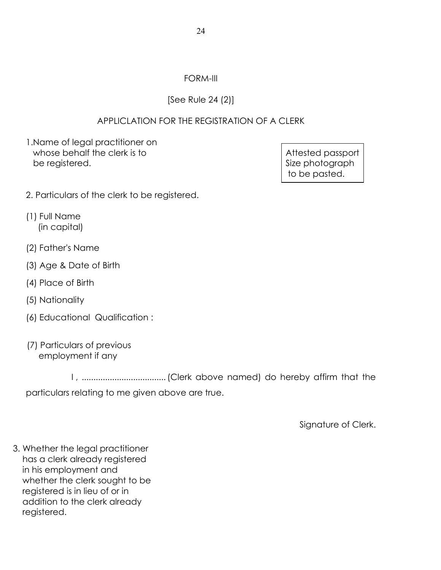## FORM-III

## [See Rule 24 (2)]

## APPLICLATION FOR THE REGISTRATION OF A CLERK

1.Name of legal practitioner on whose behalf the clerk is to  $\blacksquare$  Attested passport be registered.  $\vert$  Size photograph

to be pasted.

- 2. Particulars of the clerk to be registered.
- (1) Full Name (in capital)
- (2) Father's Name
- (3) Age & Date of Birth
- (4) Place of Birth
- (5) Nationality
- (6) Educational Qualification :
- (7) Particulars of previous employment if any

 I , ....................................(Clerk above named) do hereby affirm that the particulars relating to me given above are true.

Signature of Clerk.

3. Whether the legal practitioner has a clerk already registered in his employment and whether the clerk sought to be registered is in lieu of or in addition to the clerk already registered.